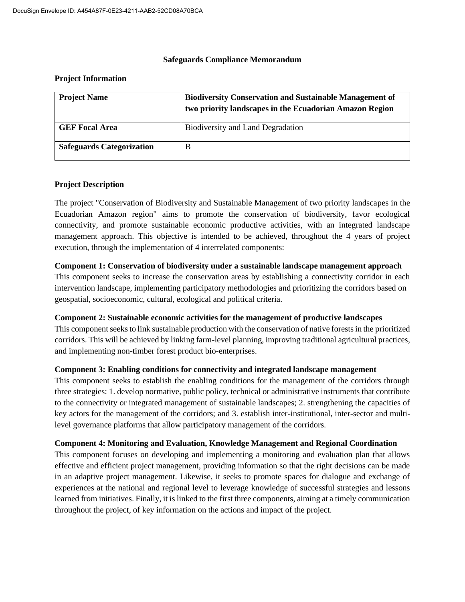#### **Safeguards Compliance Memorandum**

#### **Project Information**

| <b>Project Name</b>              | <b>Biodiversity Conservation and Sustainable Management of</b><br>two priority landscapes in the Ecuadorian Amazon Region |  |
|----------------------------------|---------------------------------------------------------------------------------------------------------------------------|--|
| <b>GEF Focal Area</b>            | Biodiversity and Land Degradation                                                                                         |  |
| <b>Safeguards Categorization</b> | В                                                                                                                         |  |

## **Project Description**

The project "Conservation of Biodiversity and Sustainable Management of two priority landscapes in the Ecuadorian Amazon region" aims to promote the conservation of biodiversity, favor ecological connectivity, and promote sustainable economic productive activities, with an integrated landscape management approach. This objective is intended to be achieved, throughout the 4 years of project execution, through the implementation of 4 interrelated components:

## **Component 1: Conservation of biodiversity under a sustainable landscape management approach**

This component seeks to increase the conservation areas by establishing a connectivity corridor in each intervention landscape, implementing participatory methodologies and prioritizing the corridors based on geospatial, socioeconomic, cultural, ecological and political criteria.

## **Component 2: Sustainable economic activities for the management of productive landscapes**

This component seeks to link sustainable production with the conservation of native forests in the prioritized corridors. This will be achieved by linking farm-level planning, improving traditional agricultural practices, and implementing non-timber forest product bio-enterprises.

## **Component 3: Enabling conditions for connectivity and integrated landscape management**

This component seeks to establish the enabling conditions for the management of the corridors through three strategies: 1. develop normative, public policy, technical or administrative instruments that contribute to the connectivity or integrated management of sustainable landscapes; 2. strengthening the capacities of key actors for the management of the corridors; and 3. establish inter-institutional, inter-sector and multilevel governance platforms that allow participatory management of the corridors.

## **Component 4: Monitoring and Evaluation, Knowledge Management and Regional Coordination**

This component focuses on developing and implementing a monitoring and evaluation plan that allows effective and efficient project management, providing information so that the right decisions can be made in an adaptive project management. Likewise, it seeks to promote spaces for dialogue and exchange of experiences at the national and regional level to leverage knowledge of successful strategies and lessons learned from initiatives. Finally, it is linked to the first three components, aiming at a timely communication throughout the project, of key information on the actions and impact of the project.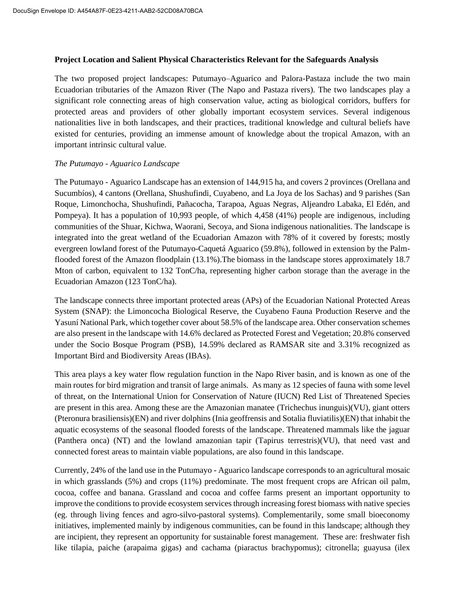#### **Project Location and Salient Physical Characteristics Relevant for the Safeguards Analysis**

The two proposed project landscapes: Putumayo–Aguarico and Palora-Pastaza include the two main Ecuadorian tributaries of the Amazon River (The Napo and Pastaza rivers). The two landscapes play a significant role connecting areas of high conservation value, acting as biological corridors, buffers for protected areas and providers of other globally important ecosystem services. Several indigenous nationalities live in both landscapes, and their practices, traditional knowledge and cultural beliefs have existed for centuries, providing an immense amount of knowledge about the tropical Amazon, with an important intrinsic cultural value.

## *The Putumayo - Aguarico Landscape*

The Putumayo - Aguarico Landscape has an extension of 144,915 ha, and covers 2 provinces (Orellana and Sucumbíos), 4 cantons (Orellana, Shushufindi, Cuyabeno, and La Joya de los Sachas) and 9 parishes (San Roque, Limonchocha, Shushufindi, Pañacocha, Tarapoa, Aguas Negras, Aljeandro Labaka, El Edén, and Pompeya). It has a population of 10,993 people, of which 4,458 (41%) people are indigenous, including communities of the Shuar, Kichwa, Waorani, Secoya, and Siona indigenous nationalities. The landscape is integrated into the great wetland of the Ecuadorian Amazon with 78% of it covered by forests; mostly evergreen lowland forest of the Putumayo-Caquetá Aguarico (59.8%), followed in extension by the Palmflooded forest of the Amazon floodplain (13.1%).The biomass in the landscape stores approximately 18.7 Mton of carbon, equivalent to 132 TonC/ha, representing higher carbon storage than the average in the Ecuadorian Amazon (123 TonC/ha).

The landscape connects three important protected areas (APs) of the Ecuadorian National Protected Areas System (SNAP): the Limoncocha Biological Reserve, the Cuyabeno Fauna Production Reserve and the Yasuní National Park, which together cover about 58.5% of the landscape area. Other conservation schemes are also present in the landscape with 14.6% declared as Protected Forest and Vegetation; 20.8% conserved under the Socio Bosque Program (PSB), 14.59% declared as RAMSAR site and 3.31% recognized as Important Bird and Biodiversity Areas (IBAs).

This area plays a key water flow regulation function in the Napo River basin, and is known as one of the main routes for bird migration and transit of large animals. As many as 12 species of fauna with some level of threat, on the International Union for Conservation of Nature (IUCN) Red List of Threatened Species are present in this area. Among these are the Amazonian manatee (Trichechus inunguis)(VU), giant otters (Pteronura brasiliensis)(EN) and river dolphins (Inia geoffrensis and Sotalia fluviatilis)(EN) that inhabit the aquatic ecosystems of the seasonal flooded forests of the landscape. Threatened mammals like the jaguar (Panthera onca) (NT) and the lowland amazonian tapir (Tapirus terrestris)(VU), that need vast and connected forest areas to maintain viable populations, are also found in this landscape.

Currently, 24% of the land use in the Putumayo - Aguarico landscape corresponds to an agricultural mosaic in which grasslands (5%) and crops (11%) predominate. The most frequent crops are African oil palm, cocoa, coffee and banana. Grassland and cocoa and coffee farms present an important opportunity to improve the conditions to provide ecosystem services through increasing forest biomass with native species (eg. through living fences and agro-silvo-pastoral systems). Complementarily, some small bioeconomy initiatives, implemented mainly by indigenous communities, can be found in this landscape; although they are incipient, they represent an opportunity for sustainable forest management. These are: freshwater fish like tilapia, paiche (arapaima gigas) and cachama (piaractus brachypomus); citronella; guayusa (ilex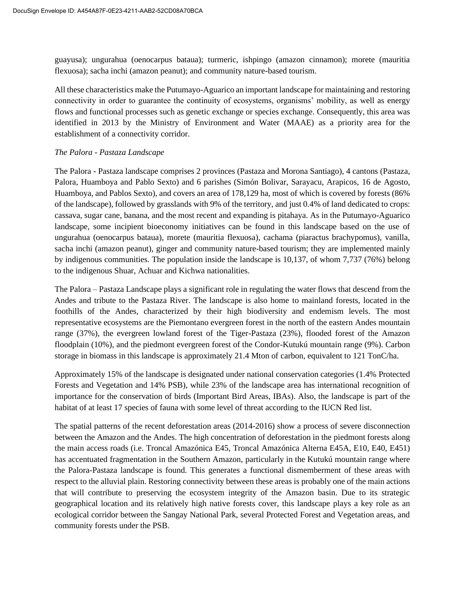guayusa); ungurahua (oenocarpus bataua); turmeric, ishpingo (amazon cinnamon); morete (mauritia flexuosa); sacha inchi (amazon peanut); and community nature-based tourism.

All these characteristics make the Putumayo-Aguarico an important landscape for maintaining and restoring connectivity in order to guarantee the continuity of ecosystems, organisms' mobility, as well as energy flows and functional processes such as genetic exchange or species exchange. Consequently, this area was identified in 2013 by the Ministry of Environment and Water (MAAE) as a priority area for the establishment of a connectivity corridor.

## *The Palora - Pastaza Landscape*

The Palora - Pastaza landscape comprises 2 provinces (Pastaza and Morona Santiago), 4 cantons (Pastaza, Palora, Huamboya and Pablo Sexto) and 6 parishes (Simón Bolivar, Sarayacu, Arapicos, 16 de Agosto, Huamboya, and Pablos Sexto), and covers an area of 178,129 ha, most of which is covered by forests (86% of the landscape), followed by grasslands with 9% of the territory, and just 0.4% of land dedicated to crops: cassava, sugar cane, banana, and the most recent and expanding is pitahaya. As in the Putumayo-Aguarico landscape, some incipient bioeconomy initiatives can be found in this landscape based on the use of ungurahua (oenocarpus bataua), morete (mauritia flexuosa), cachama (piaractus brachypomus), vanilla, sacha inchi (amazon peanut), ginger and community nature-based tourism; they are implemented mainly by indigenous communities. The population inside the landscape is 10,137, of whom 7,737 (76%) belong to the indigenous Shuar, Achuar and Kichwa nationalities.

The Palora – Pastaza Landscape plays a significant role in regulating the water flows that descend from the Andes and tribute to the Pastaza River. The landscape is also home to mainland forests, located in the foothills of the Andes, characterized by their high biodiversity and endemism levels. The most representative ecosystems are the Piemontano evergreen forest in the north of the eastern Andes mountain range (37%), the evergreen lowland forest of the Tiger-Pastaza (23%), flooded forest of the Amazon floodplain (10%), and the piedmont evergreen forest of the Condor-Kutukú mountain range (9%). Carbon storage in biomass in this landscape is approximately 21.4 Mton of carbon, equivalent to 121 TonC/ha.

Approximately 15% of the landscape is designated under national conservation categories (1.4% Protected Forests and Vegetation and 14% PSB), while 23% of the landscape area has international recognition of importance for the conservation of birds (Important Bird Areas, IBAs). Also, the landscape is part of the habitat of at least 17 species of fauna with some level of threat according to the IUCN Red list.

The spatial patterns of the recent deforestation areas (2014-2016) show a process of severe disconnection between the Amazon and the Andes. The high concentration of deforestation in the piedmont forests along the main access roads (i.e. Troncal Amazónica E45, Troncal Amazónica Alterna E45A, E10, E40, E451) has accentuated fragmentation in the Southern Amazon, particularly in the Kutukú mountain range where the Palora-Pastaza landscape is found. This generates a functional dismemberment of these areas with respect to the alluvial plain. Restoring connectivity between these areas is probably one of the main actions that will contribute to preserving the ecosystem integrity of the Amazon basin. Due to its strategic geographical location and its relatively high native forests cover, this landscape plays a key role as an ecological corridor between the Sangay National Park, several Protected Forest and Vegetation areas, and community forests under the PSB.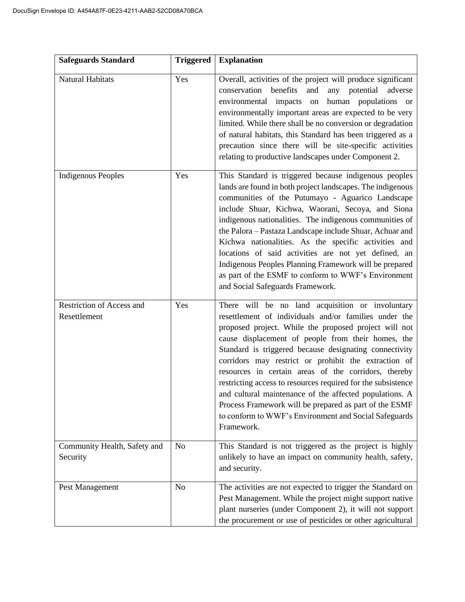| <b>Safeguards Standard</b>                | <b>Triggered</b> | <b>Explanation</b>                                                                                                                                                                                                                                                                                                                                                                                                                                                                                                                                                                                                                                             |
|-------------------------------------------|------------------|----------------------------------------------------------------------------------------------------------------------------------------------------------------------------------------------------------------------------------------------------------------------------------------------------------------------------------------------------------------------------------------------------------------------------------------------------------------------------------------------------------------------------------------------------------------------------------------------------------------------------------------------------------------|
| Natural Habitats                          | Yes              | Overall, activities of the project will produce significant<br>benefits<br>and<br>conservation<br>any potential adverse<br>environmental impacts<br>human populations or<br>on<br>environmentally important areas are expected to be very<br>limited. While there shall be no conversion or degradation<br>of natural habitats, this Standard has been triggered as a<br>precaution since there will be site-specific activities<br>relating to productive landscapes under Component 2.                                                                                                                                                                       |
| <b>Indigenous Peoples</b>                 | Yes              | This Standard is triggered because indigenous peoples<br>lands are found in both project landscapes. The indigenous<br>communities of the Putumayo - Aguarico Landscape<br>include Shuar, Kichwa, Waorani, Secoya, and Siona<br>indigenous nationalities. The indigenous communities of<br>the Palora - Pastaza Landscape include Shuar, Achuar and<br>Kichwa nationalities. As the specific activities and<br>locations of said activities are not yet defined, an<br>Indigenous Peoples Planning Framework will be prepared<br>as part of the ESMF to conform to WWF's Environment<br>and Social Safeguards Framework.                                       |
| Restriction of Access and<br>Resettlement | Yes              | There will be no land acquisition or involuntary<br>resettlement of individuals and/or families under the<br>proposed project. While the proposed project will not<br>cause displacement of people from their homes, the<br>Standard is triggered because designating connectivity<br>corridors may restrict or prohibit the extraction of<br>resources in certain areas of the corridors, thereby<br>restricting access to resources required for the subsistence<br>and cultural maintenance of the affected populations. A<br>Process Framework will be prepared as part of the ESMF<br>to conform to WWF's Environment and Social Safeguards<br>Framework. |
| Community Health, Safety and<br>Security  | N <sub>o</sub>   | This Standard is not triggered as the project is highly<br>unlikely to have an impact on community health, safety,<br>and security.                                                                                                                                                                                                                                                                                                                                                                                                                                                                                                                            |
| Pest Management                           | N <sub>o</sub>   | The activities are not expected to trigger the Standard on<br>Pest Management. While the project might support native<br>plant nurseries (under Component 2), it will not support<br>the procurement or use of pesticides or other agricultural                                                                                                                                                                                                                                                                                                                                                                                                                |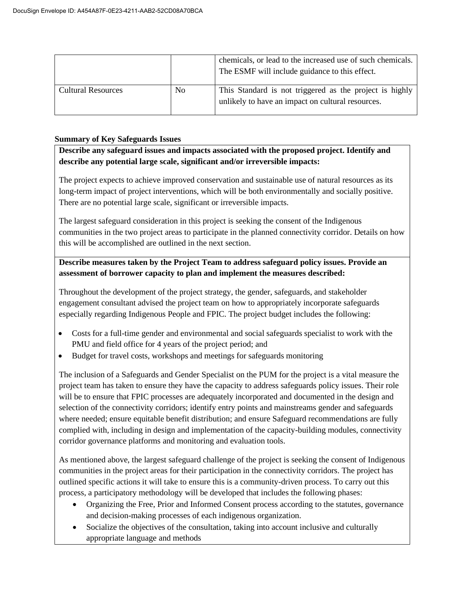|                           |    | chemicals, or lead to the increased use of such chemicals.<br>The ESMF will include guidance to this effect. |
|---------------------------|----|--------------------------------------------------------------------------------------------------------------|
| <b>Cultural Resources</b> | No | This Standard is not triggered as the project is highly<br>unlikely to have an impact on cultural resources. |

# **Summary of Key Safeguards Issues**

**Describe any safeguard issues and impacts associated with the proposed project. Identify and describe any potential large scale, significant and/or irreversible impacts:**

The project expects to achieve improved conservation and sustainable use of natural resources as its long-term impact of project interventions, which will be both environmentally and socially positive. There are no potential large scale, significant or irreversible impacts.

The largest safeguard consideration in this project is seeking the consent of the Indigenous communities in the two project areas to participate in the planned connectivity corridor. Details on how this will be accomplished are outlined in the next section.

# **Describe measures taken by the Project Team to address safeguard policy issues. Provide an assessment of borrower capacity to plan and implement the measures described:**

Throughout the development of the project strategy, the gender, safeguards, and stakeholder engagement consultant advised the project team on how to appropriately incorporate safeguards especially regarding Indigenous People and FPIC. The project budget includes the following:

- Costs for a full-time gender and environmental and social safeguards specialist to work with the PMU and field office for 4 years of the project period; and
- Budget for travel costs, workshops and meetings for safeguards monitoring

The inclusion of a Safeguards and Gender Specialist on the PUM for the project is a vital measure the project team has taken to ensure they have the capacity to address safeguards policy issues. Their role will be to ensure that FPIC processes are adequately incorporated and documented in the design and selection of the connectivity corridors; identify entry points and mainstreams gender and safeguards where needed; ensure equitable benefit distribution; and ensure Safeguard recommendations are fully complied with, including in design and implementation of the capacity-building modules, connectivity corridor governance platforms and monitoring and evaluation tools.

As mentioned above, the largest safeguard challenge of the project is seeking the consent of Indigenous communities in the project areas for their participation in the connectivity corridors. The project has outlined specific actions it will take to ensure this is a community-driven process. To carry out this process, a participatory methodology will be developed that includes the following phases:

- Organizing the Free, Prior and Informed Consent process according to the statutes, governance and decision-making processes of each indigenous organization.
- Socialize the objectives of the consultation, taking into account inclusive and culturally appropriate language and methods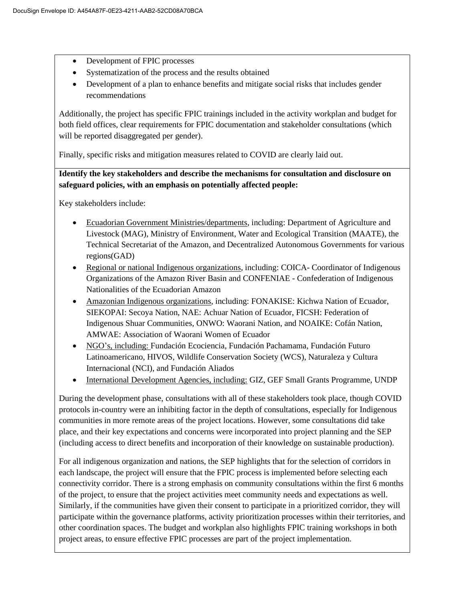- Development of FPIC processes
- Systematization of the process and the results obtained
- Development of a plan to enhance benefits and mitigate social risks that includes gender recommendations

Additionally, the project has specific FPIC trainings included in the activity workplan and budget for both field offices, clear requirements for FPIC documentation and stakeholder consultations (which will be reported disaggregated per gender).

Finally, specific risks and mitigation measures related to COVID are clearly laid out.

**Identify the key stakeholders and describe the mechanisms for consultation and disclosure on safeguard policies, with an emphasis on potentially affected people:**

Key stakeholders include:

- Ecuadorian Government Ministries/departments, including: Department of Agriculture and Livestock (MAG), Ministry of Environment, Water and Ecological Transition (MAATE), the Technical Secretariat of the Amazon, and Decentralized Autonomous Governments for various regions(GAD)
- Regional or national Indigenous organizations, including: COICA- Coordinator of Indigenous Organizations of the Amazon River Basin and CONFENIAE - Confederation of Indigenous Nationalities of the Ecuadorian Amazon
- Amazonian Indigenous organizations, including: FONAKISE: Kichwa Nation of Ecuador, SIEKOPAI: Secoya Nation, NAE: Achuar Nation of Ecuador, FICSH: Federation of Indigenous Shuar Communities, ONWO: Waorani Nation, and NOAIKE: Cofán Nation, AMWAE: Association of Waorani Women of Ecuador
- NGO's, including: Fundación Ecociencia, Fundación Pachamama, Fundación Futuro Latinoamericano, HIVOS, Wildlife Conservation Society (WCS), Naturaleza y Cultura Internacional (NCI), and Fundación Aliados
- International Development Agencies, including: GIZ, GEF Small Grants Programme, UNDP

During the development phase, consultations with all of these stakeholders took place, though COVID protocols in-country were an inhibiting factor in the depth of consultations, especially for Indigenous communities in more remote areas of the project locations. However, some consultations did take place, and their key expectations and concerns were incorporated into project planning and the SEP (including access to direct benefits and incorporation of their knowledge on sustainable production).

For all indigenous organization and nations, the SEP highlights that for the selection of corridors in each landscape, the project will ensure that the FPIC process is implemented before selecting each connectivity corridor. There is a strong emphasis on community consultations within the first 6 months of the project, to ensure that the project activities meet community needs and expectations as well. Similarly, if the communities have given their consent to participate in a prioritized corridor, they will participate within the governance platforms, activity prioritization processes within their territories, and other coordination spaces. The budget and workplan also highlights FPIC training workshops in both project areas, to ensure effective FPIC processes are part of the project implementation.